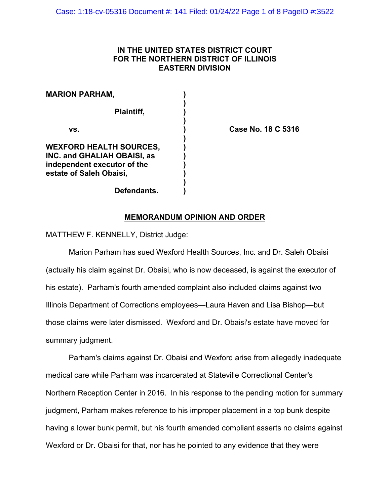# **IN THE UNITED STATES DISTRICT COURT FOR THE NORTHERN DISTRICT OF ILLINOIS EASTERN DIVISION**

| <b>MARION PARHAM,</b>                                                                                                          |  |
|--------------------------------------------------------------------------------------------------------------------------------|--|
| Plaintiff,                                                                                                                     |  |
| VS.                                                                                                                            |  |
| <b>WEXFORD HEALTH SOURCES,</b><br><b>INC. and GHALIAH OBAISI, as</b><br>independent executor of the<br>estate of Saleh Obaisi, |  |
| Defendants.                                                                                                                    |  |

**vs. ) Case No. 18 C 5316**

## **MEMORANDUM OPINION AND ORDER**

MATTHEW F. KENNELLY, District Judge:

Marion Parham has sued Wexford Health Sources, Inc. and Dr. Saleh Obaisi (actually his claim against Dr. Obaisi, who is now deceased, is against the executor of his estate). Parham's fourth amended complaint also included claims against two Illinois Department of Corrections employees—Laura Haven and Lisa Bishop—but those claims were later dismissed. Wexford and Dr. Obaisi's estate have moved for summary judgment.

Parham's claims against Dr. Obaisi and Wexford arise from allegedly inadequate medical care while Parham was incarcerated at Stateville Correctional Center's Northern Reception Center in 2016. In his response to the pending motion for summary judgment, Parham makes reference to his improper placement in a top bunk despite having a lower bunk permit, but his fourth amended compliant asserts no claims against Wexford or Dr. Obaisi for that, nor has he pointed to any evidence that they were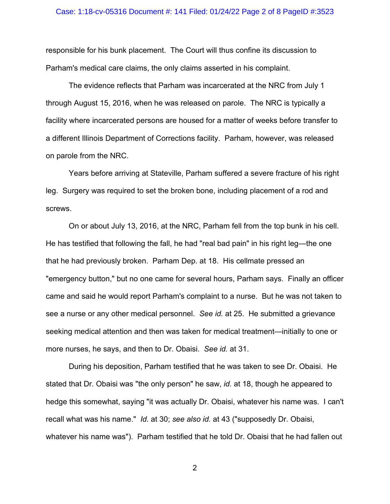### Case: 1:18-cv-05316 Document #: 141 Filed: 01/24/22 Page 2 of 8 PageID #:3523

responsible for his bunk placement. The Court will thus confine its discussion to Parham's medical care claims, the only claims asserted in his complaint.

The evidence reflects that Parham was incarcerated at the NRC from July 1 through August 15, 2016, when he was released on parole. The NRC is typically a facility where incarcerated persons are housed for a matter of weeks before transfer to a different Illinois Department of Corrections facility. Parham, however, was released on parole from the NRC.

Years before arriving at Stateville, Parham suffered a severe fracture of his right leg. Surgery was required to set the broken bone, including placement of a rod and screws.

On or about July 13, 2016, at the NRC, Parham fell from the top bunk in his cell. He has testified that following the fall, he had "real bad pain" in his right leg—the one that he had previously broken. Parham Dep. at 18. His cellmate pressed an "emergency button," but no one came for several hours, Parham says. Finally an officer came and said he would report Parham's complaint to a nurse. But he was not taken to see a nurse or any other medical personnel. *See id.* at 25. He submitted a grievance seeking medical attention and then was taken for medical treatment—initially to one or more nurses, he says, and then to Dr. Obaisi. *See id.* at 31.

During his deposition, Parham testified that he was taken to see Dr. Obaisi. He stated that Dr. Obaisi was "the only person" he saw, *id.* at 18, though he appeared to hedge this somewhat, saying "it was actually Dr. Obaisi, whatever his name was. I can't recall what was his name." *Id.* at 30; *see also id.* at 43 ("supposedly Dr. Obaisi, whatever his name was"). Parham testified that he told Dr. Obaisi that he had fallen out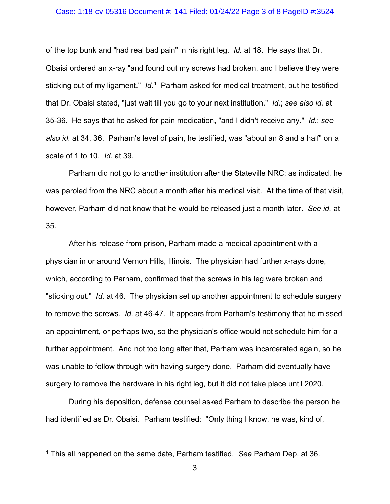## Case: 1:18-cv-05316 Document #: 141 Filed: 01/24/22 Page 3 of 8 PageID #:3524

of the top bunk and "had real bad pain" in his right leg. *Id.* at 18. He says that Dr. Obaisi ordered an x-ray "and found out my screws had broken, and I believe they were sticking out of my ligament." *Id*. [1](#page-2-0)Parham asked for medical treatment, but he testified that Dr. Obaisi stated, "just wait till you go to your next institution." *Id.*; *see also id.* at 35-36. He says that he asked for pain medication, "and I didn't receive any." *Id.*; *see also id.* at 34, 36. Parham's level of pain, he testified, was "about an 8 and a half" on a scale of 1 to 10. *Id.* at 39.

Parham did not go to another institution after the Stateville NRC; as indicated, he was paroled from the NRC about a month after his medical visit. At the time of that visit, however, Parham did not know that he would be released just a month later. *See id.* at 35.

After his release from prison, Parham made a medical appointment with a physician in or around Vernon Hills, Illinois. The physician had further x-rays done, which, according to Parham, confirmed that the screws in his leg were broken and "sticking out." *Id.* at 46. The physician set up another appointment to schedule surgery to remove the screws. *Id.* at 46-47. It appears from Parham's testimony that he missed an appointment, or perhaps two, so the physician's office would not schedule him for a further appointment. And not too long after that, Parham was incarcerated again, so he was unable to follow through with having surgery done. Parham did eventually have surgery to remove the hardware in his right leg, but it did not take place until 2020.

During his deposition, defense counsel asked Parham to describe the person he had identified as Dr. Obaisi. Parham testified: "Only thing I know, he was, kind of,

<span id="page-2-0"></span><sup>1</sup> This all happened on the same date, Parham testified. *See* Parham Dep. at 36.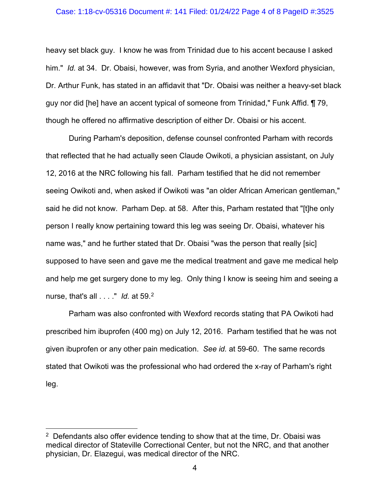## Case: 1:18-cv-05316 Document #: 141 Filed: 01/24/22 Page 4 of 8 PageID #:3525

heavy set black guy. I know he was from Trinidad due to his accent because I asked him." *Id.* at 34. Dr. Obaisi, however, was from Syria, and another Wexford physician, Dr. Arthur Funk, has stated in an affidavit that "Dr. Obaisi was neither a heavy-set black guy nor did [he] have an accent typical of someone from Trinidad," Funk Affid. ¶ 79, though he offered no affirmative description of either Dr. Obaisi or his accent.

During Parham's deposition, defense counsel confronted Parham with records that reflected that he had actually seen Claude Owikoti, a physician assistant, on July 12, 2016 at the NRC following his fall. Parham testified that he did not remember seeing Owikoti and, when asked if Owikoti was "an older African American gentleman," said he did not know. Parham Dep. at 58. After this, Parham restated that "[t]he only person I really know pertaining toward this leg was seeing Dr. Obaisi, whatever his name was," and he further stated that Dr. Obaisi "was the person that really [sic] supposed to have seen and gave me the medical treatment and gave me medical help and help me get surgery done to my leg. Only thing I know is seeing him and seeing a nurse, that's all . . . ." *Id.* at 59.[2](#page-3-0)

Parham was also confronted with Wexford records stating that PA Owikoti had prescribed him ibuprofen (400 mg) on July 12, 2016. Parham testified that he was not given ibuprofen or any other pain medication. *See id.* at 59-60. The same records stated that Owikoti was the professional who had ordered the x-ray of Parham's right leg.

<span id="page-3-0"></span> $2$  Defendants also offer evidence tending to show that at the time, Dr. Obaisi was medical director of Stateville Correctional Center, but not the NRC, and that another physician, Dr. Elazegui, was medical director of the NRC.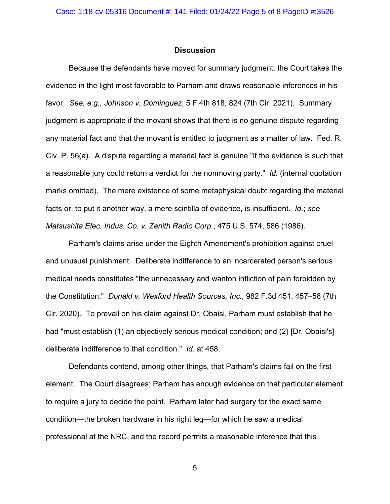## **Discussion**

Because the defendants have moved for summary judgment, the Court takes the evidence in the light most favorable to Parham and draws reasonable inferences in his favor. *See, e.g., Johnson v. Dominguez*, 5 F.4th 818, 824 (7th Cir. 2021). Summary judgment is appropriate if the movant shows that there is no genuine dispute regarding any material fact and that the movant is entitled to judgment as a matter of law. Fed. R. Civ. P. 56(a). A dispute regarding a material fact is genuine "if the evidence is such that a reasonable jury could return a verdict for the nonmoving party." *Id.* (internal quotation marks omitted). The mere existence of some metaphysical doubt regarding the material facts or, to put it another way, a mere scintilla of evidence, is insufficient. *Id.*; *see Matsushita Elec. Indus. Co. v. Zenith Radio Corp.*, 475 U.S. 574, 586 (1986).

Parham's claims arise under the Eighth Amendment's prohibition against cruel and unusual punishment. Deliberate indifference to an incarcerated person's serious medical needs constitutes "the unnecessary and wanton infliction of pain forbidden by the Constitution." *Donald v. Wexford Health Sources, Inc.*, 982 F.3d 451, 457–58 (7th Cir. 2020). To prevail on his claim against Dr. Obaisi, Parham must establish that he had "must establish (1) an objectively serious medical condition; and (2) [Dr. Obaisi's] deliberate indifference to that condition." *Id.* at 458.

Defendants contend, among other things, that Parham's claims fail on the first element. The Court disagrees; Parham has enough evidence on that particular element to require a jury to decide the point. Parham later had surgery for the exact same condition—the broken hardware in his right leg—for which he saw a medical professional at the NRC, and the record permits a reasonable inference that this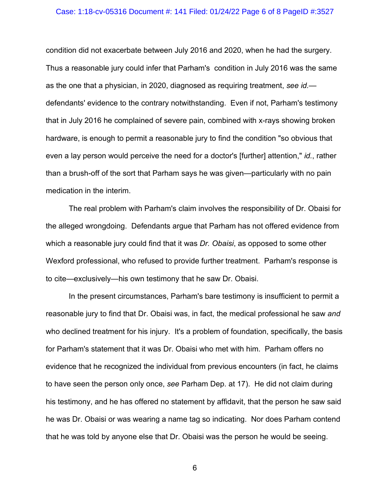### Case: 1:18-cv-05316 Document #: 141 Filed: 01/24/22 Page 6 of 8 PageID #:3527

condition did not exacerbate between July 2016 and 2020, when he had the surgery. Thus a reasonable jury could infer that Parham's condition in July 2016 was the same as the one that a physician, in 2020, diagnosed as requiring treatment, *see id.* defendants' evidence to the contrary notwithstanding. Even if not, Parham's testimony that in July 2016 he complained of severe pain, combined with x-rays showing broken hardware, is enough to permit a reasonable jury to find the condition "so obvious that even a lay person would perceive the need for a doctor's [further] attention," *id.*, rather than a brush-off of the sort that Parham says he was given—particularly with no pain medication in the interim.

The real problem with Parham's claim involves the responsibility of Dr. Obaisi for the alleged wrongdoing. Defendants argue that Parham has not offered evidence from which a reasonable jury could find that it was *Dr. Obaisi*, as opposed to some other Wexford professional, who refused to provide further treatment. Parham's response is to cite—exclusively—his own testimony that he saw Dr. Obaisi.

In the present circumstances, Parham's bare testimony is insufficient to permit a reasonable jury to find that Dr. Obaisi was, in fact, the medical professional he saw *and*  who declined treatment for his injury. It's a problem of foundation, specifically, the basis for Parham's statement that it was Dr. Obaisi who met with him. Parham offers no evidence that he recognized the individual from previous encounters (in fact, he claims to have seen the person only once, *see* Parham Dep. at 17). He did not claim during his testimony, and he has offered no statement by affidavit, that the person he saw said he was Dr. Obaisi or was wearing a name tag so indicating. Nor does Parham contend that he was told by anyone else that Dr. Obaisi was the person he would be seeing.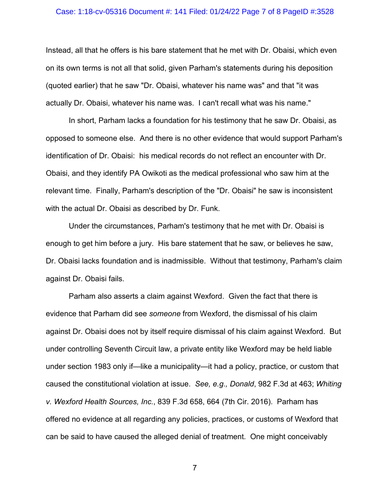## Case: 1:18-cv-05316 Document #: 141 Filed: 01/24/22 Page 7 of 8 PageID #:3528

Instead, all that he offers is his bare statement that he met with Dr. Obaisi, which even on its own terms is not all that solid, given Parham's statements during his deposition (quoted earlier) that he saw "Dr. Obaisi, whatever his name was" and that "it was actually Dr. Obaisi, whatever his name was. I can't recall what was his name."

In short, Parham lacks a foundation for his testimony that he saw Dr. Obaisi, as opposed to someone else. And there is no other evidence that would support Parham's identification of Dr. Obaisi: his medical records do not reflect an encounter with Dr. Obaisi, and they identify PA Owikoti as the medical professional who saw him at the relevant time. Finally, Parham's description of the "Dr. Obaisi" he saw is inconsistent with the actual Dr. Obaisi as described by Dr. Funk.

Under the circumstances, Parham's testimony that he met with Dr. Obaisi is enough to get him before a jury. His bare statement that he saw, or believes he saw, Dr. Obaisi lacks foundation and is inadmissible. Without that testimony, Parham's claim against Dr. Obaisi fails.

Parham also asserts a claim against Wexford. Given the fact that there is evidence that Parham did see *someone* from Wexford, the dismissal of his claim against Dr. Obaisi does not by itself require dismissal of his claim against Wexford. But under controlling Seventh Circuit law, a private entity like Wexford may be held liable under section 1983 only if—like a municipality—it had a policy, practice, or custom that caused the constitutional violation at issue. *See, e.g., Donald*, 982 F.3d at 463; *Whiting v. Wexford Health Sources, Inc.*, 839 F.3d 658, 664 (7th Cir. 2016). Parham has offered no evidence at all regarding any policies, practices, or customs of Wexford that can be said to have caused the alleged denial of treatment. One might conceivably